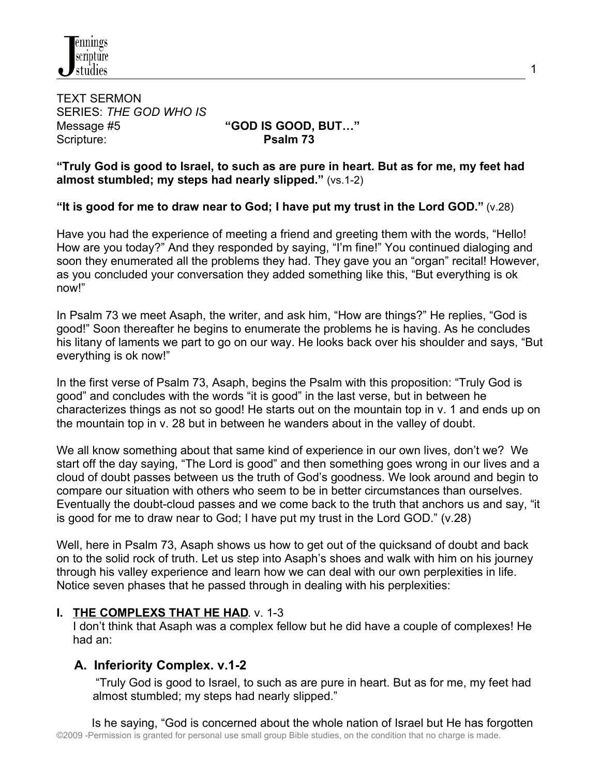

TEXT SERMON SERIES: *THE GOD WHO IS* Message #5 **"GOD IS GOOD, BUT…"** Scripture: **Psalm 73** 

**"Truly God is good to Israel, to such as are pure in heart. But as for me, my feet had almost stumbled; my steps had nearly slipped."** (vs.1-2)

**"It is good for me to draw near to God; I have put my trust in the Lord GOD."** (v.28)

Have you had the experience of meeting a friend and greeting them with the words, "Hello! How are you today?" And they responded by saying, "I'm fine!" You continued dialoging and soon they enumerated all the problems they had. They gave you an "organ" recital! However, as you concluded your conversation they added something like this, "But everything is ok now!"

In Psalm 73 we meet Asaph, the writer, and ask him, "How are things?" He replies, "God is good!" Soon thereafter he begins to enumerate the problems he is having. As he concludes his litany of laments we part to go on our way. He looks back over his shoulder and says, "But everything is ok now!"

In the first verse of Psalm 73, Asaph, begins the Psalm with this proposition: "Truly God is good" and concludes with the words "it is good" in the last verse, but in between he characterizes things as not so good! He starts out on the mountain top in v. 1 and ends up on the mountain top in v. 28 but in between he wanders about in the valley of doubt.

We all know something about that same kind of experience in our own lives, don't we? We start off the day saying, "The Lord is good" and then something goes wrong in our lives and a cloud of doubt passes between us the truth of God's goodness. We look around and begin to compare our situation with others who seem to be in better circumstances than ourselves. Eventually the doubt-cloud passes and we come back to the truth that anchors us and say, "it is good for me to draw near to God; I have put my trust in the Lord GOD." (v.28)

Well, here in Psalm 73, Asaph shows us how to get out of the quicksand of doubt and back on to the solid rock of truth. Let us step into Asaph's shoes and walk with him on his journey through his valley experience and learn how we can deal with our own perplexities in life. Notice seven phases that he passed through in dealing with his perplexities:

# **I. THE COMPLEXS THAT HE HAD**. v. 1-3

 I don't think that Asaph was a complex fellow but he did have a couple of complexes! He had an:

# **A. Inferiority Complex. v.1-2**

 "Truly God is good to Israel, to such as are pure in heart. But as for me, my feet had almost stumbled; my steps had nearly slipped."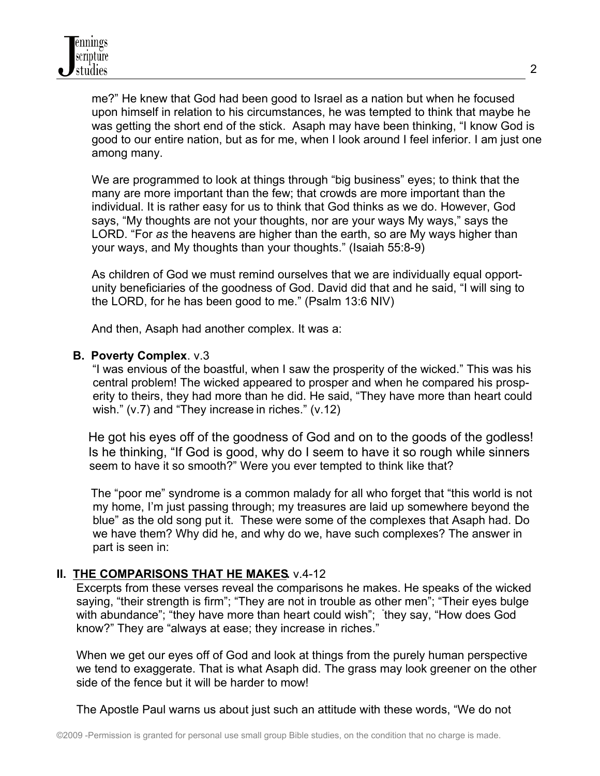me?" He knew that God had been good to Israel as a nation but when he focused upon himself in relation to his circumstances, he was tempted to think that maybe he was getting the short end of the stick. Asaph may have been thinking, "I know God is good to our entire nation, but as for me, when I look around I feel inferior. I am just one among many.

We are programmed to look at things through "big business" eyes; to think that the many are more important than the few; that crowds are more important than the individual. It is rather easy for us to think that God thinks as we do. However, God says, "My thoughts are not your thoughts, nor are your ways My ways," says the LORD. "For *as* the heavens are higher than the earth, so are My ways higher than your ways, and My thoughts than your thoughts." (Isaiah 55:8-9)

As children of God we must remind ourselves that we are individually equal opportunity beneficiaries of the goodness of God. David did that and he said, "I will sing to the LORD, for he has been good to me." (Psalm 13:6 NIV)

And then, Asaph had another complex. It was a:

## **B. Poverty Complex**. v.3

 "I was envious of the boastful, when I saw the prosperity of the wicked." This was his central problem! The wicked appeared to prosper and when he compared his prosp erity to theirs, they had more than he did. He said, "They have more than heart could wish." (v.7) and "They increase in riches." (v.12)

He got his eyes off of the goodness of God and on to the goods of the godless! Is he thinking, "If God is good, why do I seem to have it so rough while sinners seem to have it so smooth?" Were you ever tempted to think like that?

The "poor me" syndrome is a common malady for all who forget that "this world is not my home, I'm just passing through; my treasures are laid up somewhere beyond the blue" as the old song put it. These were some of the complexes that Asaph had. Do we have them? Why did he, and why do we, have such complexes? The answer in part is seen in:

# **II. THE COMPARISONS THAT HE MAKES.** v.4-12

 Excerpts from these verses reveal the comparisons he makes. He speaks of the wicked saying, "their strength is firm"; "They are not in trouble as other men"; "Their eyes bulge with abundance"; "they have more than heart could wish"; "they say, "How does God know?" They are "always at ease; they increase in riches."

 When we get our eyes off of God and look at things from the purely human perspective we tend to exaggerate. That is what Asaph did. The grass may look greener on the other side of the fence but it will be harder to mow!

The Apostle Paul warns us about just such an attitude with these words, "We do not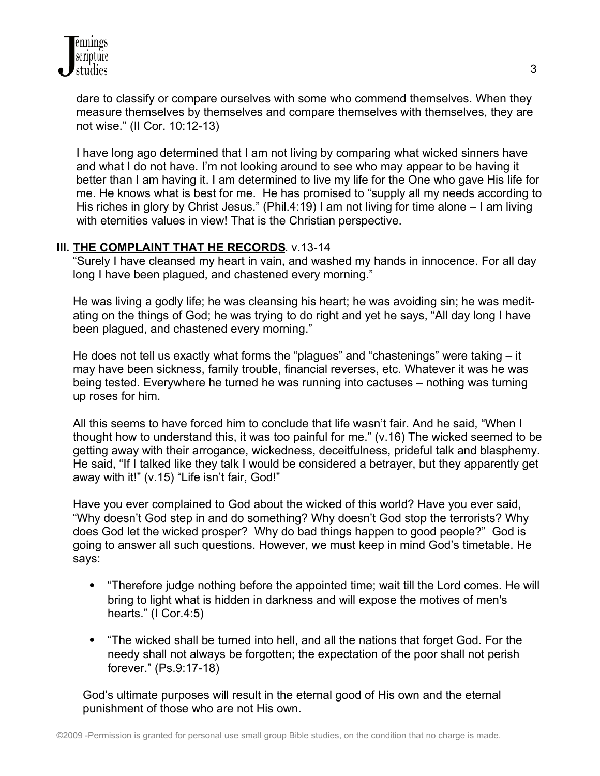dare to classify or compare ourselves with some who commend themselves. When they measure themselves by themselves and compare themselves with themselves, they are not wise." (II Cor. 10:12-13)

 I have long ago determined that I am not living by comparing what wicked sinners have and what I do not have. I'm not looking around to see who may appear to be having it better than I am having it. I am determined to live my life for the One who gave His life for me. He knows what is best for me. He has promised to "supply all my needs according to His riches in glory by Christ Jesus." (Phil.4:19) I am not living for time alone – I am living with eternities values in view! That is the Christian perspective.

## **III. THE COMPLAINT THAT HE RECORDS**. v.13-14

 "Surely I have cleansed my heart in vain, and washed my hands in innocence. For all day long I have been plagued, and chastened every morning."

 He was living a godly life; he was cleansing his heart; he was avoiding sin; he was medit ating on the things of God; he was trying to do right and yet he says, "All day long I have been plagued, and chastened every morning."

 He does not tell us exactly what forms the "plagues" and "chastenings" were taking – it may have been sickness, family trouble, financial reverses, etc. Whatever it was he was being tested. Everywhere he turned he was running into cactuses – nothing was turning up roses for him.

 All this seems to have forced him to conclude that life wasn't fair. And he said, "When I thought how to understand this, it was too painful for me." (v.16) The wicked seemed to be getting away with their arrogance, wickedness, deceitfulness, prideful talk and blasphemy. He said, "If I talked like they talk I would be considered a betrayer, but they apparently get away with it!" (v.15) "Life isn't fair, God!"

 Have you ever complained to God about the wicked of this world? Have you ever said, "Why doesn't God step in and do something? Why doesn't God stop the terrorists? Why does God let the wicked prosper? Why do bad things happen to good people?" God is going to answer all such questions. However, we must keep in mind God's timetable. He says:

- "Therefore judge nothing before the appointed time; wait till the Lord comes. He will bring to light what is hidden in darkness and will expose the motives of men's hearts." (I Cor.4:5)
- "The wicked shall be turned into hell, and all the nations that forget God. For the needy shall not always be forgotten; the expectation of the poor shall not perish forever." (Ps.9:17-18)

 God's ultimate purposes will result in the eternal good of His own and the eternal punishment of those who are not His own.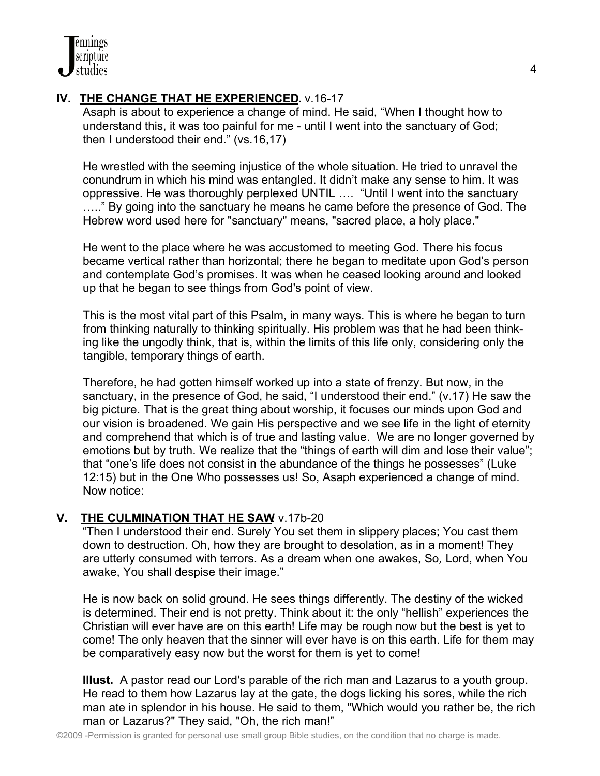# **IV. THE CHANGE THAT HE EXPERIENCED.** v.16-17

 Asaph is about to experience a change of mind. He said, "When I thought how to understand this, it was too painful for me - until I went into the sanctuary of God; then I understood their end." (vs.16,17)

 He wrestled with the seeming injustice of the whole situation. He tried to unravel the conundrum in which his mind was entangled. It didn't make any sense to him. It was oppressive. He was thoroughly perplexed UNTIL …. "Until I went into the sanctuary ….." By going into the sanctuary he means he came before the presence of God. The Hebrew word used here for "sanctuary" means, "sacred place, a holy place."

 He went to the place where he was accustomed to meeting God. There his focus became vertical rather than horizontal; there he began to meditate upon God's person and contemplate God's promises. It was when he ceased looking around and looked up that he began to see things from God's point of view.

 This is the most vital part of this Psalm, in many ways. This is where he began to turn from thinking naturally to thinking spiritually. His problem was that he had been think ing like the ungodly think, that is, within the limits of this life only, considering only the tangible, temporary things of earth.

 Therefore, he had gotten himself worked up into a state of frenzy. But now, in the sanctuary, in the presence of God, he said, "I understood their end." (v.17) He saw the big picture. That is the great thing about worship, it focuses our minds upon God and our vision is broadened. We gain His perspective and we see life in the light of eternity and comprehend that which is of true and lasting value. We are no longer governed by emotions but by truth. We realize that the "things of earth will dim and lose their value"; that "one's life does not consist in the abundance of the things he possesses" (Luke 12:15) but in the One Who possesses us! So, Asaph experienced a change of mind. Now notice:

# **V.** THE CULMINATION THAT HE SAW v.17b-20

 "Then I understood their end. Surely You set them in slippery places; You cast them down to destruction. Oh, how they are brought to desolation, as in a moment! They are utterly consumed with terrors. As a dream when one awakes, So*,* Lord, when You awake, You shall despise their image."

 He is now back on solid ground. He sees things differently. The destiny of the wicked is determined. Their end is not pretty. Think about it: the only "hellish" experiences the Christian will ever have are on this earth! Life may be rough now but the best is yet to come! The only heaven that the sinner will ever have is on this earth. Life for them may be comparatively easy now but the worst for them is yet to come!

 **Illust.** A pastor read our Lord's parable of the rich man and Lazarus to a youth group. He read to them how Lazarus lay at the gate, the dogs licking his sores, while the rich man ate in splendor in his house. He said to them, "Which would you rather be, the rich man or Lazarus?" They said, "Oh, the rich man!"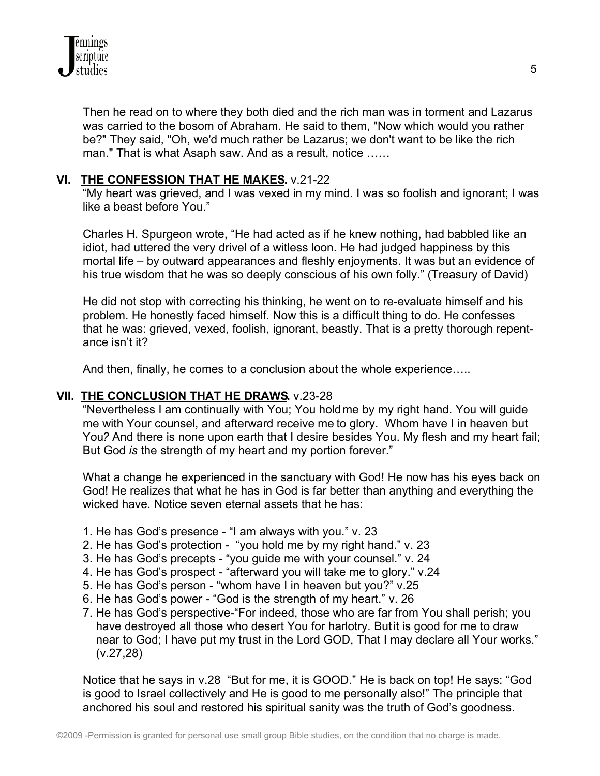

 Then he read on to where they both died and the rich man was in torment and Lazarus was carried to the bosom of Abraham. He said to them, "Now which would you rather be?" They said, "Oh, we'd much rather be Lazarus; we don't want to be like the rich man." That is what Asaph saw. And as a result, notice ……

## **VI. THE CONFESSION THAT HE MAKES.** v.21-22

 "My heart was grieved, and I was vexed in my mind. I was so foolish and ignorant; I was like a beast before You."

 Charles H. Spurgeon wrote, "He had acted as if he knew nothing, had babbled like an idiot, had uttered the very drivel of a witless loon. He had judged happiness by this mortal life – by outward appearances and fleshly enjoyments. It was but an evidence of his true wisdom that he was so deeply conscious of his own folly." (Treasury of David)

 He did not stop with correcting his thinking, he went on to re-evaluate himself and his problem. He honestly faced himself. Now this is a difficult thing to do. He confesses that he was: grieved, vexed, foolish, ignorant, beastly. That is a pretty thorough repent ance isn't it?

And then, finally, he comes to a conclusion about the whole experience…..

#### **VII. THE CONCLUSION THAT HE DRAWS.** v.23-28

 "Nevertheless I am continually with You; You hold me by my right hand. You will guide me with Your counsel, and afterward receive me to glory. Whom have I in heaven but You*?* And there is none upon earth that I desire besides You. My flesh and my heart fail; But God *is* the strength of my heart and my portion forever."

 What a change he experienced in the sanctuary with God! He now has his eyes back on God! He realizes that what he has in God is far better than anything and everything the wicked have. Notice seven eternal assets that he has:

- 1. He has God's presence "I am always with you." v. 23
- 2. He has God's protection "you hold me by my right hand." v. 23
- 3. He has God's precepts "you guide me with your counsel." v. 24
- 4. He has God's prospect "afterward you will take me to glory." v.24
- 5. He has God's person "whom have I in heaven but you?" v.25
- 6. He has God's power "God is the strength of my heart." v. 26
- 7. He has God's perspective-"For indeed, those who are far from You shall perish; you have destroyed all those who desert You for harlotry. But it is good for me to draw near to God; I have put my trust in the Lord GOD, That I may declare all Your works." (v.27,28)

 Notice that he says in v.28 "But for me, it is GOOD." He is back on top! He says: "God is good to Israel collectively and He is good to me personally also!" The principle that anchored his soul and restored his spiritual sanity was the truth of God's goodness.